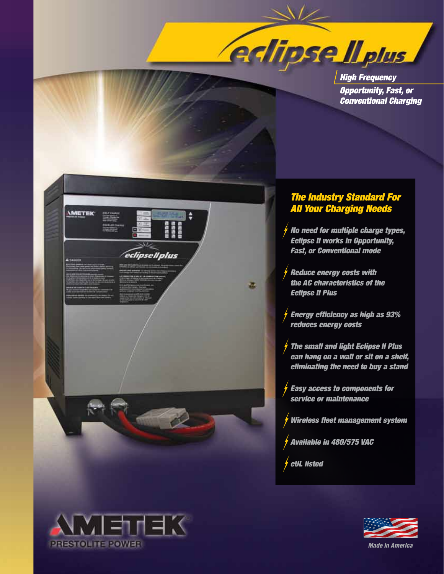

*High Frequency Opportunity, Fast, or Conventional Charging*



## *The Industry Standard For All Your Charging Needs*

*No need for multiple charge types, Eclipse II works in Opportunity, Fast, or Conventional mode*

*Reduce energy costs with the AC characteristics of the Eclipse II Plus*

*Energy efficiency as high as 93% reduces energy costs*

*The small and light Eclipse II Plus can hang on a wall or sit on a shelf, eliminating the need to buy a stand*

*Easy access to components for service or maintenance*

*Wireless fleet management system*

*Available in 480/575 VAC*

*cUL listed*





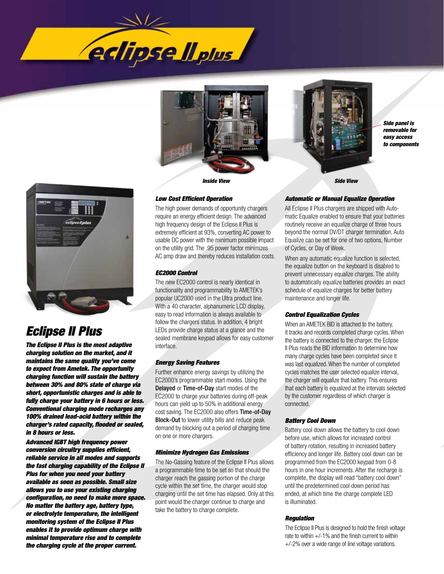





*Side panel is removable for easy access to components*



# *Eclipse II Plus*

*The Eclipse II Plus is the most adaptive charging solution on the market, and it maintains the same quality you've come to expect from Ametek. The opportunity charging function will sustain the battery between 30% and 80% state of charge via short, opportunistic charges and is able to fully charge your battery in 6 hours or less. Conventional charging mode recharges any 100% drained lead-acid battery within the charger's rated capacity, flooded or sealed, in 8 hours or less.* 

*Advanced IGBT high frequency power conversion circuitry supplies efficient, reliable service in all modes and supports the fast charging capability of the Eclipse II Plus for when you need your battery available as soon as possible. Small size allows you to use your existing charging configuration, no need to make more space. No matter the battery age, battery type, or electrolyte temperature, the intelligent monitoring system of the Eclipse II Plus enables it to provide optimum charge with minimal temperature rise and to complete the charging cycle at the proper current.* 

#### *Low Cost Efficient Operation*

The high power demands of opportunity chargers require an energy efficient design. The advanced high frequency design of the Eclipse II Plus is extremely efficient at 93%, converting AC power to usable DC power with the minimum possible impact on the utility grid. The .95 power factor minimizes AC amp draw and thereby reduces installation costs.

### *EC2000 Control*

The new EC2000 control is nearly identical in functionality and programmability to AMETEK's popular UC2000 used in the Ultra product line. With a 40 character, alphanumeric LCD display, easy to read information is always available to follow the chargers status. In addition, 4 bright LEDs provide charge status at a glance and the sealed membrane keypad allows for easy customer interface.

#### *Energy Saving Features*

Further enhance energy savings by utilizing the EC2000's programmable start modes. Using the Delayed or Time-of-Day start modes of the EC2000 to charge your batteries during off-peak hours can yield up to 50% in additional energy cost saving. The EC2000 also offers Time-of-Day Block-Out to lower utility bills and reduce peak demand by blocking out a period of charging time on one or more chargers.

#### *Minimize Hydrogen Gas Emissions*

The No-Gassing feature of the Eclipse II Plus allows a programmable time to be set so that should the charger reach the gassing portion of the charge cycle within the set time, the charger would stop charging until the set time has elapsed. Only at this point would the charger continue to charge and take the battery to charge complete.

#### *Automatic or Manual Equalize Operation*

All Eclipse II Plus chargers are shipped with Automatic Equalize enabled to ensure that your batteries routinely receive an equalize charge of three hours beyond the normal DV/DT charger termination. Auto Equalize can be set for one of two options, Number of Cycles, or Day of Week.

When any automatic equalize function is selected, the equalize button on the keyboard is disabled to prevent unnecessary equalize charges. The ability to automatically equalize batteries provides an exact schedule of equalize charges for better battery maintenance and longer life.

#### *Control Equalization Cycles*

When an AMETEK BID is attached to the battery, it tracks and records completed charge cycles. When the battery is connected to the charger, the Eclipse II Plus reads the BID information to determine how many charge cycles have been completed since it was last equalized. When the number of completed cycles matches the user selected equalize interval, the charger will equalize that battery. This ensures that each battery is equalized at the intervals selected by the customer regardless of which charger is connected.

#### *Battery Cool Down*

Battery cool down allows the battery to cool down before use, which allows for increased control of battery rotation, resulting in increased battery efficiency and longer life. Battery cool down can be programmed from the EC2000 keypad from 0-8 hours in one hour increments. After the recharge is complete, the display will read "battery cool down" until the predetermined cool down period has ended, at which time the charge complete LED is illuminated.

#### *Regulation*

The Eclipse II Plus is designed to hold the finish voltage rate to within  $+/-1\%$  and the finish current to within +/-2% over a wide range of line voltage variations.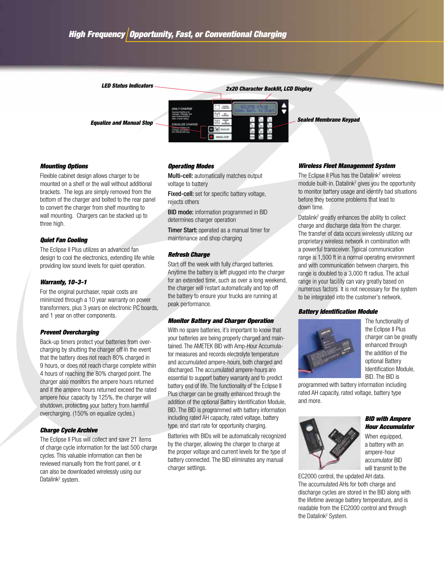*2x20 Character Backlit, LCD Display LED Status Indicators Equalize and Manual Stop Sealed Membrane Keypad*

# *Mounting Options*

Flexible cabinet design allows charger to be mounted on a shelf or the wall without additional brackets. The legs are simply removed from the bottom of the charger and bolted to the rear panel to convert the charger from shelf mounting to wall mounting. Chargers can be stacked up to three high.

#### *Quiet Fan Cooling*

The Eclipse II Plus utilizes an advanced fan design to cool the electronics, extending life while providing low sound levels for quiet operation.

#### *Warranty, 10-3-1*

For the original purchaser, repair costs are minimized through a 10 year warranty on power transformers, plus 3 years on electronic PC boards, and 1 year on other components.

#### *Prevent Overcharging*

Back-up timers protect your batteries from overcharging by shutting the charger off in the event that the battery does not reach 80% charged in 9 hours, or does not reach charge complete within 4 hours of reaching the 80% charged point. The charger also monitors the ampere hours returned and if the ampere hours returned exceed the rated ampere hour capacity by 125%, the charger will shutdown, protecting your battery from harmful overcharging. (150% on equalize cycles.)

#### *Charge Cycle Archive*

The Eclipse II Plus will collect and save 21 items of charge cycle information for the last 500 charge cycles. This valuable information can then be reviewed manually from the front panel, or it can also be downloaded wirelessly using our Datalink<sup>2</sup> system.

#### *Operating Modes*

Multi-cell: automatically matches output voltage to battery

Fixed-cell: set for specific battery voltage, rejects others

BID mode: information programmed in BID determines charger operation

Timer Start: operated as a manual timer for maintenance and shop charging

#### *Refresh Charge*

Start off the week with fully charged batteries. Anytime the battery is left plugged into the charger for an extended time, such as over a long weekend, the charger will restart automatically and top off the battery to ensure your trucks are running at peak performance.

#### *Monitor Battery and Charger Operation*

With no spare batteries, it's important to know that your batteries are being properly charged and maintained. The AMETEK BID with Amp-Hour Accumulator measures and records electrolyte temperature and accumulated ampere-hours, both charged and discharged. The accumulated ampere-hours are essential to support battery warranty and to predict battery end of life. The functionality of the Eclipse II Plus charger can be greatly enhanced through the addition of the optional Battery Identification Module, BID. The BID is programmed with battery information including rated AH capacity, rated voltage, battery type, and start rate for opportunity charging.

Batteries with BIDs will be automatically recognized by the charger, allowing the charger to charge at the proper voltage and current levels for the type of battery connected. The BID eliminates any manual charger settings.

#### *Wireless Fleet Management System*

The Eclipse II Plus has the Datalink<sup>2</sup> wireless module built-in. Datalink<sup>2</sup> gives you the opportunity to monitor battery usage and identify bad situations before they become problems that lead to down time.

Datalink<sup>2</sup> greatly enhances the ability to collect charge and discharge data from the charger. The transfer of data occurs wirelessly utilizing our proprietary wireless network in combination with a powerful transceiver. Typical communication range is 1,500 ft in a normal operating environment and with communication between chargers, this range is doubled to a 3,000 ft radius. The actual range in your facility can vary greatly based on numerous factors. It is not necessary for the system to be integrated into the customer's network.

#### *Battery Identification Module*



The functionality of the Eclipse II Plus charger can be greatly enhanced through the addition of the optional Battery Identification Module, BID. The BID is

programmed with battery information including rated AH capacity, rated voltage, battery type and more.



#### *BID with Ampere Hour Accumulator*

When equipped, a battery with an ampere-hour accumulator BID will transmit to the

EC2000 control, the updated AH data. The accumulated AHs for both charge and discharge cycles are stored in the BID along with the lifetime average battery temperature, and is readable from the EC2000 control and through the Datalink<sup>2</sup> System.